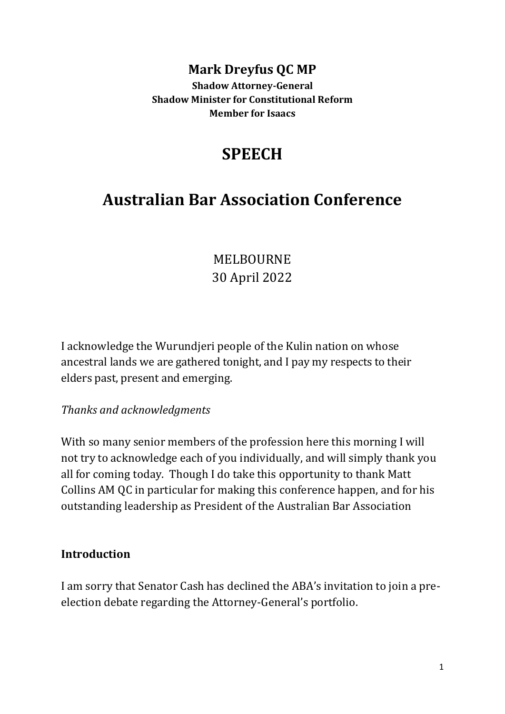# **Mark Dreyfus QC MP**

**Shadow Attorney-General Shadow Minister for Constitutional Reform Member for Isaacs**

# **SPEECH**

# **Australian Bar Association Conference**

# MELBOURNE 30 April 2022

I acknowledge the Wurundjeri people of the Kulin nation on whose ancestral lands we are gathered tonight, and I pay my respects to their elders past, present and emerging.

#### *Thanks and acknowledgments*

With so many senior members of the profession here this morning I will not try to acknowledge each of you individually, and will simply thank you all for coming today. Though I do take this opportunity to thank Matt Collins AM QC in particular for making this conference happen, and for his outstanding leadership as President of the Australian Bar Association

#### **Introduction**

I am sorry that Senator Cash has declined the ABA's invitation to join a preelection debate regarding the Attorney-General's portfolio.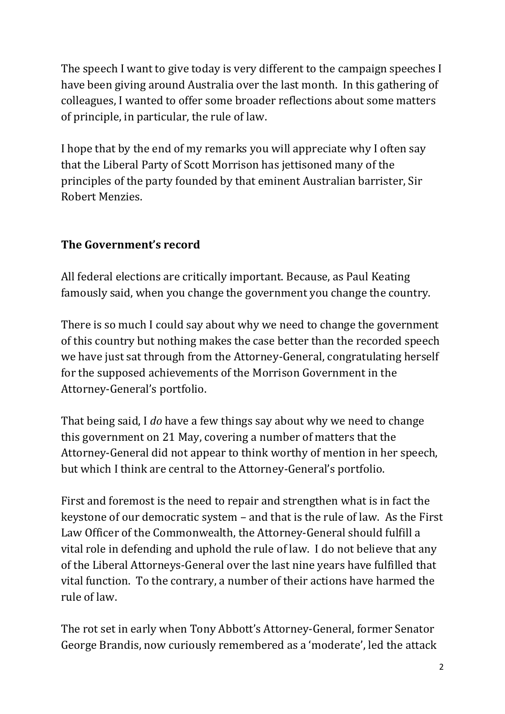The speech I want to give today is very different to the campaign speeches I have been giving around Australia over the last month. In this gathering of colleagues, I wanted to offer some broader reflections about some matters of principle, in particular, the rule of law.

I hope that by the end of my remarks you will appreciate why I often say that the Liberal Party of Scott Morrison has jettisoned many of the principles of the party founded by that eminent Australian barrister, Sir Robert Menzies.

### **The Government's record**

All federal elections are critically important. Because, as Paul Keating famously said, when you change the government you change the country.

There is so much I could say about why we need to change the government of this country but nothing makes the case better than the recorded speech we have just sat through from the Attorney-General, congratulating herself for the supposed achievements of the Morrison Government in the Attorney-General's portfolio.

That being said, I *do* have a few things say about why we need to change this government on 21 May, covering a number of matters that the Attorney-General did not appear to think worthy of mention in her speech, but which I think are central to the Attorney-General's portfolio.

First and foremost is the need to repair and strengthen what is in fact the keystone of our democratic system – and that is the rule of law. As the First Law Officer of the Commonwealth, the Attorney-General should fulfill a vital role in defending and uphold the rule of law. I do not believe that any of the Liberal Attorneys-General over the last nine years have fulfilled that vital function. To the contrary, a number of their actions have harmed the rule of law.

The rot set in early when Tony Abbott's Attorney-General, former Senator George Brandis, now curiously remembered as a 'moderate', led the attack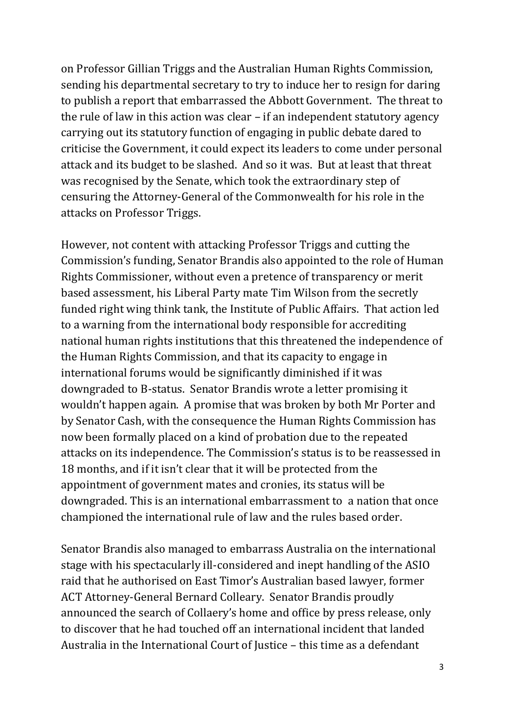on Professor Gillian Triggs and the Australian Human Rights Commission, sending his departmental secretary to try to induce her to resign for daring to publish a report that embarrassed the Abbott Government. The threat to the rule of law in this action was clear – if an independent statutory agency carrying out its statutory function of engaging in public debate dared to criticise the Government, it could expect its leaders to come under personal attack and its budget to be slashed. And so it was. But at least that threat was recognised by the Senate, which took the extraordinary step of censuring the Attorney-General of the Commonwealth for his role in the attacks on Professor Triggs.

However, not content with attacking Professor Triggs and cutting the Commission's funding, Senator Brandis also appointed to the role of Human Rights Commissioner, without even a pretence of transparency or merit based assessment, his Liberal Party mate Tim Wilson from the secretly funded right wing think tank, the Institute of Public Affairs. That action led to a warning from the international body responsible for accrediting national human rights institutions that this threatened the independence of the Human Rights Commission, and that its capacity to engage in international forums would be significantly diminished if it was downgraded to B-status. Senator Brandis wrote a letter promising it wouldn't happen again. A promise that was broken by both Mr Porter and by Senator Cash, with the consequence the Human Rights Commission has now been formally placed on a kind of probation due to the repeated attacks on its independence. The Commission's status is to be reassessed in 18 months, and if it isn't clear that it will be protected from the appointment of government mates and cronies, its status will be downgraded. This is an international embarrassment to a nation that once championed the international rule of law and the rules based order.

Senator Brandis also managed to embarrass Australia on the international stage with his spectacularly ill-considered and inept handling of the ASIO raid that he authorised on East Timor's Australian based lawyer, former ACT Attorney-General Bernard Colleary. Senator Brandis proudly announced the search of Collaery's home and office by press release, only to discover that he had touched off an international incident that landed Australia in the International Court of Justice – this time as a defendant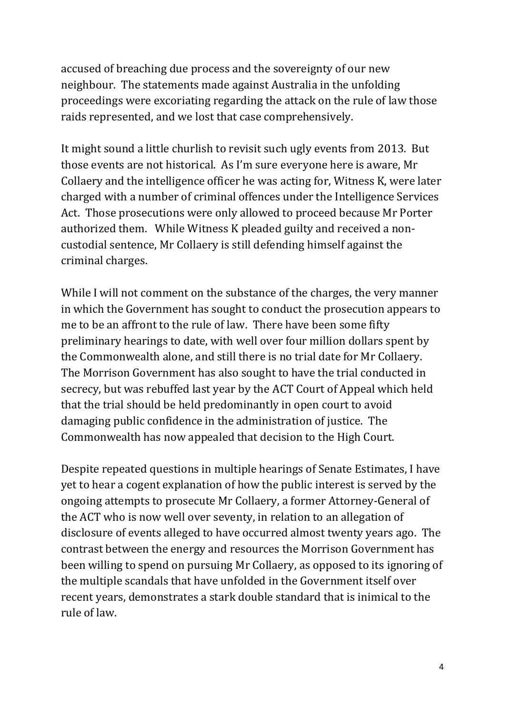accused of breaching due process and the sovereignty of our new neighbour. The statements made against Australia in the unfolding proceedings were excoriating regarding the attack on the rule of law those raids represented, and we lost that case comprehensively.

It might sound a little churlish to revisit such ugly events from 2013. But those events are not historical. As I'm sure everyone here is aware, Mr Collaery and the intelligence officer he was acting for, Witness K, were later charged with a number of criminal offences under the Intelligence Services Act. Those prosecutions were only allowed to proceed because Mr Porter authorized them. While Witness K pleaded guilty and received a noncustodial sentence, Mr Collaery is still defending himself against the criminal charges.

While I will not comment on the substance of the charges, the very manner in which the Government has sought to conduct the prosecution appears to me to be an affront to the rule of law. There have been some fifty preliminary hearings to date, with well over four million dollars spent by the Commonwealth alone, and still there is no trial date for Mr Collaery. The Morrison Government has also sought to have the trial conducted in secrecy, but was rebuffed last year by the ACT Court of Appeal which held that the trial should be held predominantly in open court to avoid damaging public confidence in the administration of justice. The Commonwealth has now appealed that decision to the High Court.

Despite repeated questions in multiple hearings of Senate Estimates, I have yet to hear a cogent explanation of how the public interest is served by the ongoing attempts to prosecute Mr Collaery, a former Attorney-General of the ACT who is now well over seventy, in relation to an allegation of disclosure of events alleged to have occurred almost twenty years ago. The contrast between the energy and resources the Morrison Government has been willing to spend on pursuing Mr Collaery, as opposed to its ignoring of the multiple scandals that have unfolded in the Government itself over recent years, demonstrates a stark double standard that is inimical to the rule of law.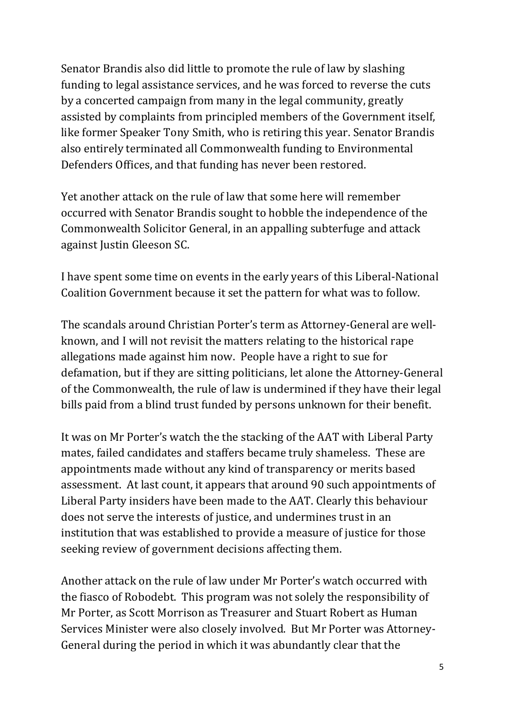Senator Brandis also did little to promote the rule of law by slashing funding to legal assistance services, and he was forced to reverse the cuts by a concerted campaign from many in the legal community, greatly assisted by complaints from principled members of the Government itself, like former Speaker Tony Smith, who is retiring this year. Senator Brandis also entirely terminated all Commonwealth funding to Environmental Defenders Offices, and that funding has never been restored.

Yet another attack on the rule of law that some here will remember occurred with Senator Brandis sought to hobble the independence of the Commonwealth Solicitor General, in an appalling subterfuge and attack against Justin Gleeson SC.

I have spent some time on events in the early years of this Liberal-National Coalition Government because it set the pattern for what was to follow.

The scandals around Christian Porter's term as Attorney-General are wellknown, and I will not revisit the matters relating to the historical rape allegations made against him now. People have a right to sue for defamation, but if they are sitting politicians, let alone the Attorney-General of the Commonwealth, the rule of law is undermined if they have their legal bills paid from a blind trust funded by persons unknown for their benefit.

It was on Mr Porter's watch the the stacking of the AAT with Liberal Party mates, failed candidates and staffers became truly shameless. These are appointments made without any kind of transparency or merits based assessment. At last count, it appears that around 90 such appointments of Liberal Party insiders have been made to the AAT. Clearly this behaviour does not serve the interests of justice, and undermines trust in an institution that was established to provide a measure of justice for those seeking review of government decisions affecting them.

Another attack on the rule of law under Mr Porter's watch occurred with the fiasco of Robodebt. This program was not solely the responsibility of Mr Porter, as Scott Morrison as Treasurer and Stuart Robert as Human Services Minister were also closely involved. But Mr Porter was Attorney-General during the period in which it was abundantly clear that the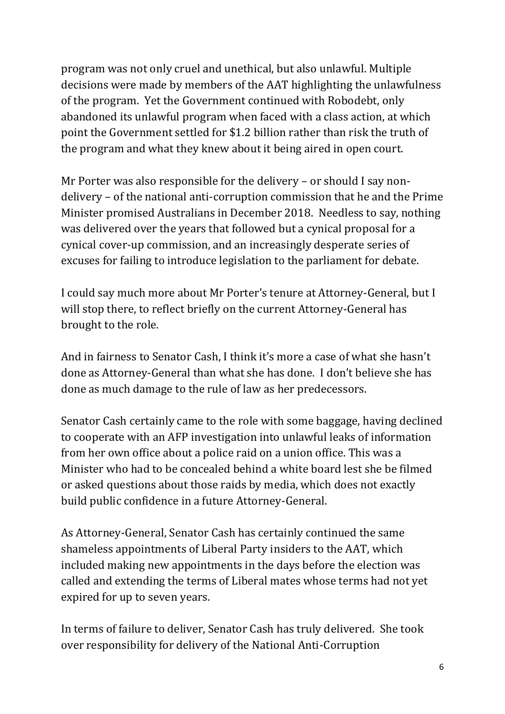program was not only cruel and unethical, but also unlawful. Multiple decisions were made by members of the AAT highlighting the unlawfulness of the program. Yet the Government continued with Robodebt, only abandoned its unlawful program when faced with a class action, at which point the Government settled for \$1.2 billion rather than risk the truth of the program and what they knew about it being aired in open court.

Mr Porter was also responsible for the delivery – or should I say nondelivery – of the national anti-corruption commission that he and the Prime Minister promised Australians in December 2018. Needless to say, nothing was delivered over the years that followed but a cynical proposal for a cynical cover-up commission, and an increasingly desperate series of excuses for failing to introduce legislation to the parliament for debate.

I could say much more about Mr Porter's tenure at Attorney-General, but I will stop there, to reflect briefly on the current Attorney-General has brought to the role.

And in fairness to Senator Cash, I think it's more a case of what she hasn't done as Attorney-General than what she has done. I don't believe she has done as much damage to the rule of law as her predecessors.

Senator Cash certainly came to the role with some baggage, having declined to cooperate with an AFP investigation into unlawful leaks of information from her own office about a police raid on a union office. This was a Minister who had to be concealed behind a white board lest she be filmed or asked questions about those raids by media, which does not exactly build public confidence in a future Attorney-General.

As Attorney-General, Senator Cash has certainly continued the same shameless appointments of Liberal Party insiders to the AAT, which included making new appointments in the days before the election was called and extending the terms of Liberal mates whose terms had not yet expired for up to seven years.

In terms of failure to deliver, Senator Cash has truly delivered. She took over responsibility for delivery of the National Anti-Corruption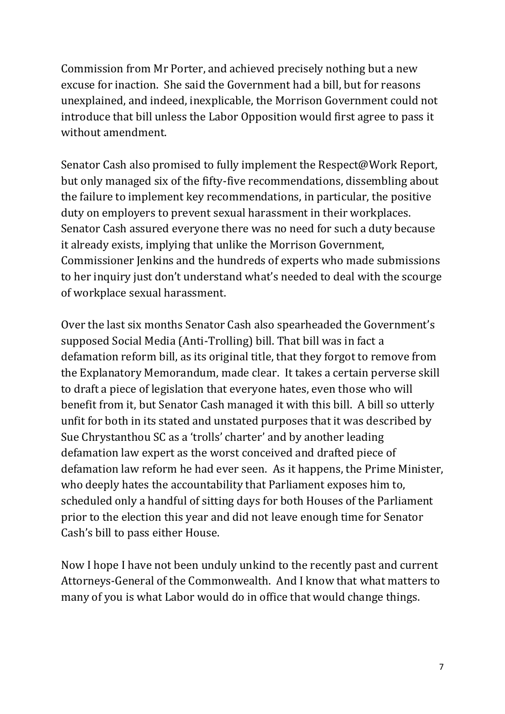Commission from Mr Porter, and achieved precisely nothing but a new excuse for inaction. She said the Government had a bill, but for reasons unexplained, and indeed, inexplicable, the Morrison Government could not introduce that bill unless the Labor Opposition would first agree to pass it without amendment.

Senator Cash also promised to fully implement the Respect@Work Report, but only managed six of the fifty-five recommendations, dissembling about the failure to implement key recommendations, in particular, the positive duty on employers to prevent sexual harassment in their workplaces. Senator Cash assured everyone there was no need for such a duty because it already exists, implying that unlike the Morrison Government, Commissioner Jenkins and the hundreds of experts who made submissions to her inquiry just don't understand what's needed to deal with the scourge of workplace sexual harassment.

Over the last six months Senator Cash also spearheaded the Government's supposed Social Media (Anti-Trolling) bill. That bill was in fact a defamation reform bill, as its original title, that they forgot to remove from the Explanatory Memorandum, made clear. It takes a certain perverse skill to draft a piece of legislation that everyone hates, even those who will benefit from it, but Senator Cash managed it with this bill. A bill so utterly unfit for both in its stated and unstated purposes that it was described by Sue Chrystanthou SC as a 'trolls' charter' and by another leading defamation law expert as the worst conceived and drafted piece of defamation law reform he had ever seen. As it happens, the Prime Minister, who deeply hates the accountability that Parliament exposes him to, scheduled only a handful of sitting days for both Houses of the Parliament prior to the election this year and did not leave enough time for Senator Cash's bill to pass either House.

Now I hope I have not been unduly unkind to the recently past and current Attorneys-General of the Commonwealth. And I know that what matters to many of you is what Labor would do in office that would change things.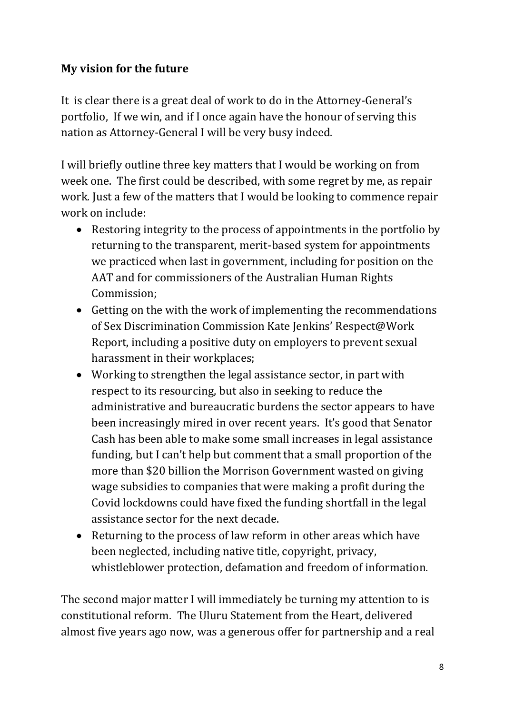### **My vision for the future**

It is clear there is a great deal of work to do in the Attorney-General's portfolio, If we win, and if I once again have the honour of serving this nation as Attorney-General I will be very busy indeed.

I will briefly outline three key matters that I would be working on from week one. The first could be described, with some regret by me, as repair work. Just a few of the matters that I would be looking to commence repair work on include:

- Restoring integrity to the process of appointments in the portfolio by returning to the transparent, merit-based system for appointments we practiced when last in government, including for position on the AAT and for commissioners of the Australian Human Rights Commission;
- Getting on the with the work of implementing the recommendations of Sex Discrimination Commission Kate Jenkins' Respect@Work Report, including a positive duty on employers to prevent sexual harassment in their workplaces;
- Working to strengthen the legal assistance sector, in part with respect to its resourcing, but also in seeking to reduce the administrative and bureaucratic burdens the sector appears to have been increasingly mired in over recent years. It's good that Senator Cash has been able to make some small increases in legal assistance funding, but I can't help but comment that a small proportion of the more than \$20 billion the Morrison Government wasted on giving wage subsidies to companies that were making a profit during the Covid lockdowns could have fixed the funding shortfall in the legal assistance sector for the next decade.
- Returning to the process of law reform in other areas which have been neglected, including native title, copyright, privacy, whistleblower protection, defamation and freedom of information.

The second major matter I will immediately be turning my attention to is constitutional reform. The Uluru Statement from the Heart, delivered almost five years ago now, was a generous offer for partnership and a real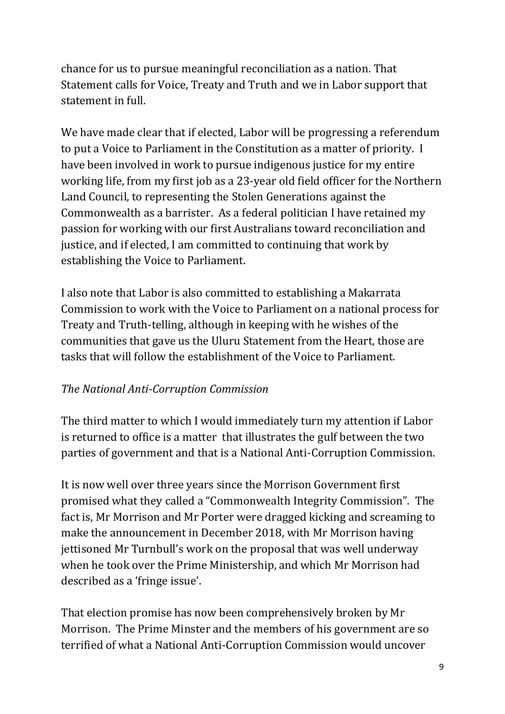chance for us to pursue meaningful reconciliation as a nation. That Statement calls for Voice, Treaty and Truth and we in Labor support that statement in full. 

We have made clear that if elected, Labor will be progressing a referendum to put a Voice to Parliament in the Constitution as a matter of priority. I have been involved in work to pursue indigenous justice for my entire working life, from my first job as a 23-year old field officer for the Northern Land Council, to representing the Stolen Generations against the Commonwealth as a barrister. As a federal politician I have retained my passion for working with our first Australians toward reconciliation and justice, and if elected, I am committed to continuing that work by establishing the Voice to Parliament.

I also note that Labor is also committed to establishing a Makarrata Commission to work with the Voice to Parliament on a national process for Treaty and Truth-telling, although in keeping with he wishes of the communities that gave us the Uluru Statement from the Heart, those are tasks that will follow the establishment of the Voice to Parliament.

## *The National Anti-Corruption Commission*

The third matter to which I would immediately turn my attention if Labor is returned to office is a matter that illustrates the gulf between the two parties of government and that is a National Anti-Corruption Commission.

It is now well over three years since the Morrison Government first promised what they called a "Commonwealth Integrity Commission". The fact is, Mr Morrison and Mr Porter were dragged kicking and screaming to make the announcement in December 2018, with Mr Morrison having jettisoned Mr Turnbull's work on the proposal that was well underway when he took over the Prime Ministership, and which Mr Morrison had described as a 'fringe issue'.

That election promise has now been comprehensively broken by Mr Morrison. The Prime Minster and the members of his government are so terrified of what a National Anti-Corruption Commission would uncover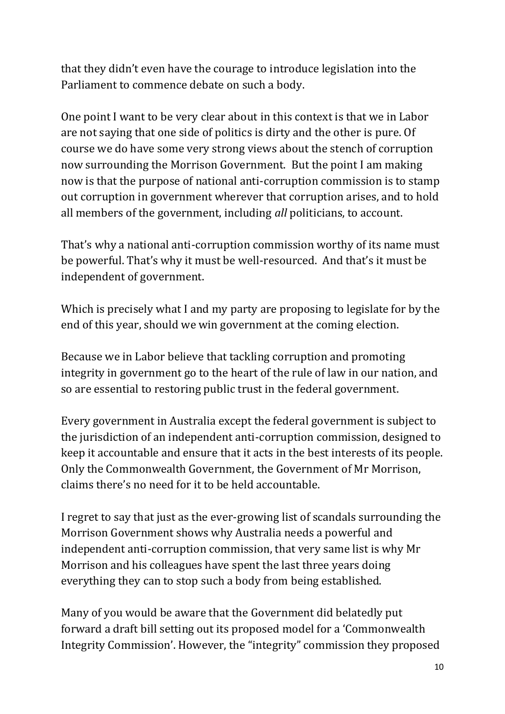that they didn't even have the courage to introduce legislation into the Parliament to commence debate on such a body.

One point I want to be very clear about in this context is that we in Labor are not saying that one side of politics is dirty and the other is pure. Of course we do have some very strong views about the stench of corruption now surrounding the Morrison Government. But the point I am making now is that the purpose of national anti-corruption commission is to stamp out corruption in government wherever that corruption arises, and to hold all members of the government, including *all* politicians, to account.

That's why a national anti-corruption commission worthy of its name must be powerful. That's why it must be well-resourced. And that's it must be independent of government.

Which is precisely what I and my party are proposing to legislate for by the end of this year, should we win government at the coming election.

Because we in Labor believe that tackling corruption and promoting integrity in government go to the heart of the rule of law in our nation, and so are essential to restoring public trust in the federal government.

Every government in Australia except the federal government is subject to the jurisdiction of an independent anti-corruption commission, designed to keep it accountable and ensure that it acts in the best interests of its people. Only the Commonwealth Government, the Government of Mr Morrison, claims there's no need for it to be held accountable.

I regret to say that just as the ever-growing list of scandals surrounding the Morrison Government shows why Australia needs a powerful and independent anti-corruption commission, that very same list is why Mr Morrison and his colleagues have spent the last three years doing everything they can to stop such a body from being established.

Many of you would be aware that the Government did belatedly put forward a draft bill setting out its proposed model for a 'Commonwealth Integrity Commission'. However, the "integrity" commission they proposed